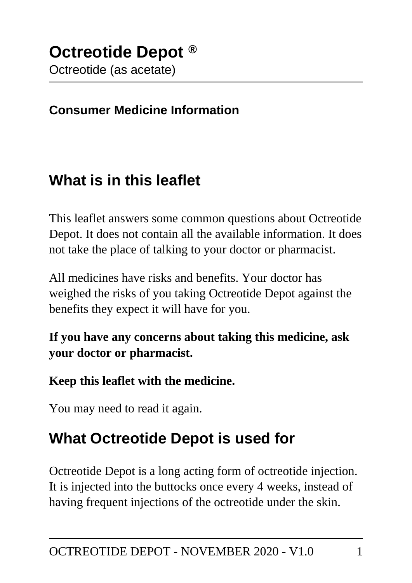#### **Consumer Medicine Information**

## **What is in this leaflet**

This leaflet answers some common questions about Octreotide Depot. It does not contain all the available information. It does not take the place of talking to your doctor or pharmacist.

All medicines have risks and benefits. Your doctor has weighed the risks of you taking Octreotide Depot against the benefits they expect it will have for you.

**If you have any concerns about taking this medicine, ask your doctor or pharmacist.**

#### **Keep this leaflet with the medicine.**

You may need to read it again.

# **What Octreotide Depot is used for**

Octreotide Depot is a long acting form of octreotide injection. It is injected into the buttocks once every 4 weeks, instead of having frequent injections of the octreotide under the skin.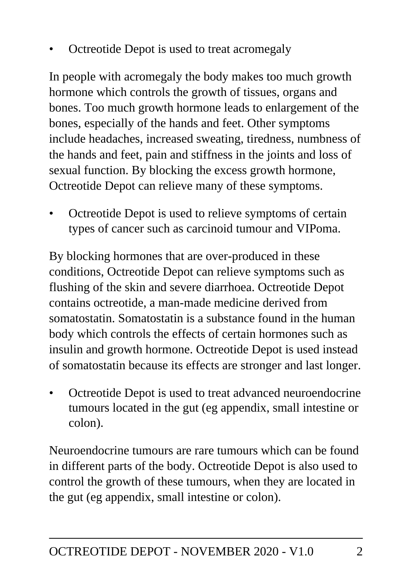• Octreotide Depot is used to treat acromegaly

In people with acromegaly the body makes too much growth hormone which controls the growth of tissues, organs and bones. Too much growth hormone leads to enlargement of the bones, especially of the hands and feet. Other symptoms include headaches, increased sweating, tiredness, numbness of the hands and feet, pain and stiffness in the joints and loss of sexual function. By blocking the excess growth hormone, Octreotide Depot can relieve many of these symptoms.

• Octreotide Depot is used to relieve symptoms of certain types of cancer such as carcinoid tumour and VIPoma.

By blocking hormones that are over-produced in these conditions, Octreotide Depot can relieve symptoms such as flushing of the skin and severe diarrhoea. Octreotide Depot contains octreotide, a man-made medicine derived from somatostatin. Somatostatin is a substance found in the human body which controls the effects of certain hormones such as insulin and growth hormone. Octreotide Depot is used instead of somatostatin because its effects are stronger and last longer.

• Octreotide Depot is used to treat advanced neuroendocrine tumours located in the gut (eg appendix, small intestine or colon).

Neuroendocrine tumours are rare tumours which can be found in different parts of the body. Octreotide Depot is also used to control the growth of these tumours, when they are located in the gut (eg appendix, small intestine or colon).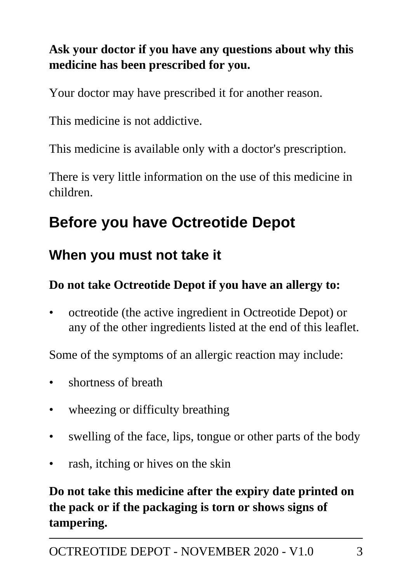### **Ask your doctor if you have any questions about why this medicine has been prescribed for you.**

Your doctor may have prescribed it for another reason.

This medicine is not addictive.

This medicine is available only with a doctor's prescription.

There is very little information on the use of this medicine in children.

# **Before you have Octreotide Depot**

## **When you must not take it**

#### **Do not take Octreotide Depot if you have an allergy to:**

• octreotide (the active ingredient in Octreotide Depot) or any of the other ingredients listed at the end of this leaflet.

Some of the symptoms of an allergic reaction may include:

- shortness of breath
- wheezing or difficulty breathing
- swelling of the face, lips, tongue or other parts of the body
- rash, itching or hives on the skin

### **Do not take this medicine after the expiry date printed on the pack or if the packaging is torn or shows signs of tampering.**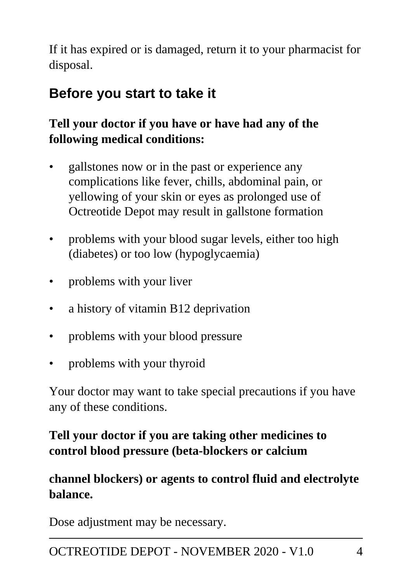If it has expired or is damaged, return it to your pharmacist for disposal.

# **Before you start to take it**

### **Tell your doctor if you have or have had any of the following medical conditions:**

- gallstones now or in the past or experience any complications like fever, chills, abdominal pain, or yellowing of your skin or eyes as prolonged use of Octreotide Depot may result in gallstone formation
- problems with your blood sugar levels, either too high (diabetes) or too low (hypoglycaemia)
- problems with your liver
- a history of vitamin B12 deprivation
- problems with your blood pressure
- problems with your thyroid

Your doctor may want to take special precautions if you have any of these conditions.

### **Tell your doctor if you are taking other medicines to control blood pressure (beta-blockers or calcium**

#### **channel blockers) or agents to control fluid and electrolyte balance.**

Dose adjustment may be necessary.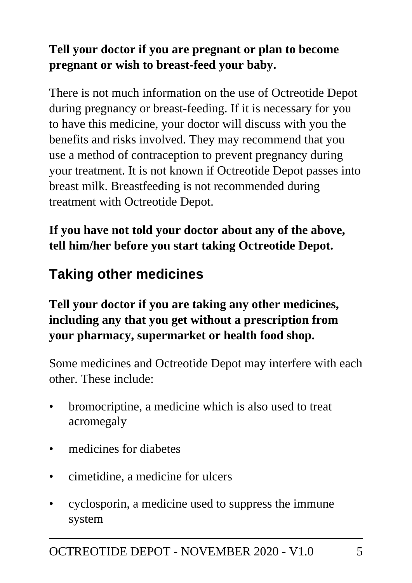### **Tell your doctor if you are pregnant or plan to become pregnant or wish to breast-feed your baby.**

There is not much information on the use of Octreotide Depot during pregnancy or breast-feeding. If it is necessary for you to have this medicine, your doctor will discuss with you the benefits and risks involved. They may recommend that you use a method of contraception to prevent pregnancy during your treatment. It is not known if Octreotide Depot passes into breast milk. Breastfeeding is not recommended during treatment with Octreotide Depot.

**If you have not told your doctor about any of the above, tell him/her before you start taking Octreotide Depot.**

# **Taking other medicines**

### **Tell your doctor if you are taking any other medicines, including any that you get without a prescription from your pharmacy, supermarket or health food shop.**

Some medicines and Octreotide Depot may interfere with each other. These include:

- bromocriptine, a medicine which is also used to treat acromegaly
- medicines for diabetes
- cimetidine, a medicine for ulcers
- cyclosporin, a medicine used to suppress the immune system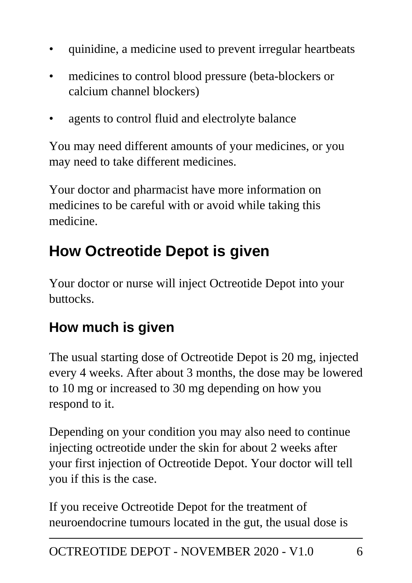- quinidine, a medicine used to prevent irregular heartbeats
- medicines to control blood pressure (beta-blockers or calcium channel blockers)
- agents to control fluid and electrolyte balance

You may need different amounts of your medicines, or you may need to take different medicines.

Your doctor and pharmacist have more information on medicines to be careful with or avoid while taking this medicine.

# **How Octreotide Depot is given**

Your doctor or nurse will inject Octreotide Depot into your buttocks.

# **How much is given**

The usual starting dose of Octreotide Depot is 20 mg, injected every 4 weeks. After about 3 months, the dose may be lowered to 10 mg or increased to 30 mg depending on how you respond to it.

Depending on your condition you may also need to continue injecting octreotide under the skin for about 2 weeks after your first injection of Octreotide Depot. Your doctor will tell you if this is the case.

If you receive Octreotide Depot for the treatment of neuroendocrine tumours located in the gut, the usual dose is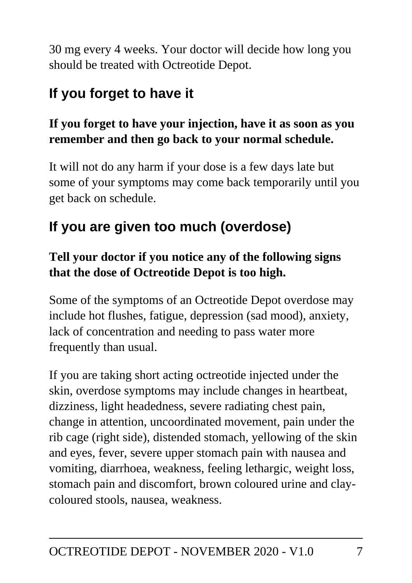30 mg every 4 weeks. Your doctor will decide how long you should be treated with Octreotide Depot.

# **If you forget to have it**

### **If you forget to have your injection, have it as soon as you remember and then go back to your normal schedule.**

It will not do any harm if your dose is a few days late but some of your symptoms may come back temporarily until you get back on schedule.

# **If you are given too much (overdose)**

### **Tell your doctor if you notice any of the following signs that the dose of Octreotide Depot is too high.**

Some of the symptoms of an Octreotide Depot overdose may include hot flushes, fatigue, depression (sad mood), anxiety, lack of concentration and needing to pass water more frequently than usual.

If you are taking short acting octreotide injected under the skin, overdose symptoms may include changes in heartbeat, dizziness, light headedness, severe radiating chest pain, change in attention, uncoordinated movement, pain under the rib cage (right side), distended stomach, yellowing of the skin and eyes, fever, severe upper stomach pain with nausea and vomiting, diarrhoea, weakness, feeling lethargic, weight loss, stomach pain and discomfort, brown coloured urine and claycoloured stools, nausea, weakness.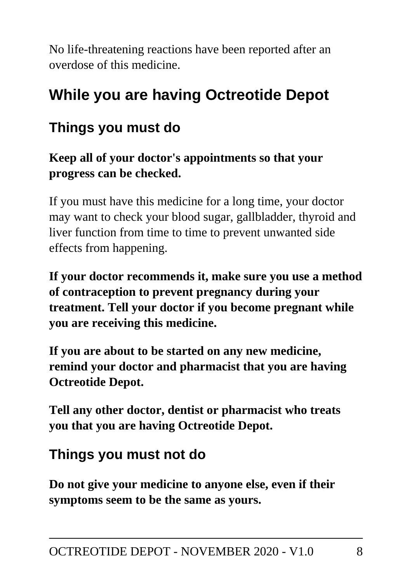No life-threatening reactions have been reported after an overdose of this medicine.

# **While you are having Octreotide Depot**

## **Things you must do**

**Keep all of your doctor's appointments so that your progress can be checked.**

If you must have this medicine for a long time, your doctor may want to check your blood sugar, gallbladder, thyroid and liver function from time to time to prevent unwanted side effects from happening.

**If your doctor recommends it, make sure you use a method of contraception to prevent pregnancy during your treatment. Tell your doctor if you become pregnant while you are receiving this medicine.**

**If you are about to be started on any new medicine, remind your doctor and pharmacist that you are having Octreotide Depot.**

**Tell any other doctor, dentist or pharmacist who treats you that you are having Octreotide Depot.**

### **Things you must not do**

**Do not give your medicine to anyone else, even if their symptoms seem to be the same as yours.**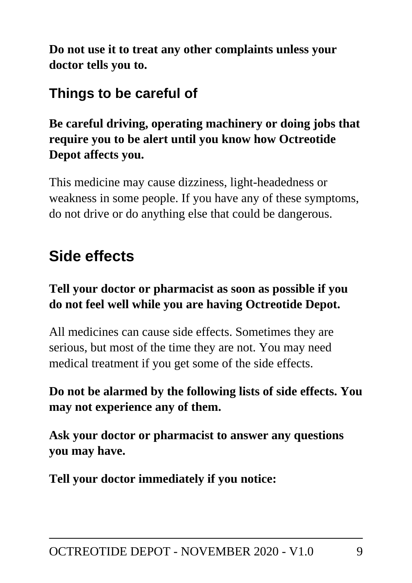**Do not use it to treat any other complaints unless your doctor tells you to.**

## **Things to be careful of**

#### **Be careful driving, operating machinery or doing jobs that require you to be alert until you know how Octreotide Depot affects you.**

This medicine may cause dizziness, light-headedness or weakness in some people. If you have any of these symptoms, do not drive or do anything else that could be dangerous.

# **Side effects**

#### **Tell your doctor or pharmacist as soon as possible if you do not feel well while you are having Octreotide Depot.**

All medicines can cause side effects. Sometimes they are serious, but most of the time they are not. You may need medical treatment if you get some of the side effects.

#### **Do not be alarmed by the following lists of side effects. You may not experience any of them.**

**Ask your doctor or pharmacist to answer any questions you may have.**

**Tell your doctor immediately if you notice:**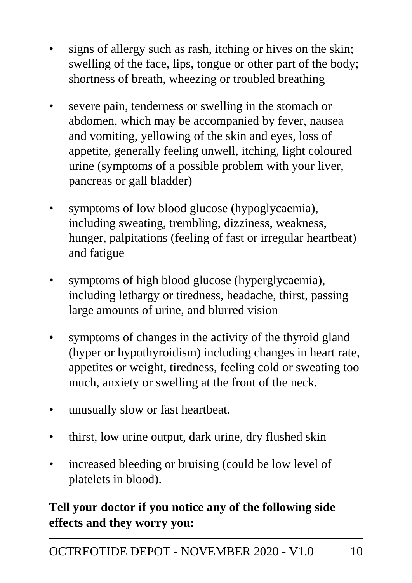- signs of allergy such as rash, itching or hives on the skin; swelling of the face, lips, tongue or other part of the body; shortness of breath, wheezing or troubled breathing
- severe pain, tenderness or swelling in the stomach or abdomen, which may be accompanied by fever, nausea and vomiting, yellowing of the skin and eyes, loss of appetite, generally feeling unwell, itching, light coloured urine (symptoms of a possible problem with your liver, pancreas or gall bladder)
- symptoms of low blood glucose (hypoglycaemia), including sweating, trembling, dizziness, weakness, hunger, palpitations (feeling of fast or irregular heartbeat) and fatigue
- symptoms of high blood glucose (hyperglycaemia), including lethargy or tiredness, headache, thirst, passing large amounts of urine, and blurred vision
- symptoms of changes in the activity of the thyroid gland (hyper or hypothyroidism) including changes in heart rate, appetites or weight, tiredness, feeling cold or sweating too much, anxiety or swelling at the front of the neck.
- unusually slow or fast heartbeat.
- thirst, low urine output, dark urine, dry flushed skin
- increased bleeding or bruising (could be low level of platelets in blood).

### **Tell your doctor if you notice any of the following side effects and they worry you:**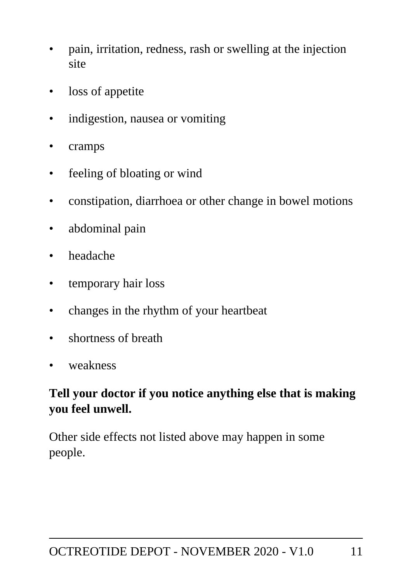- pain, irritation, redness, rash or swelling at the injection site
- loss of appetite
- indigestion, nausea or vomiting
- cramps
- feeling of bloating or wind
- constipation, diarrhoea or other change in bowel motions
- abdominal pain
- headache
- temporary hair loss
- changes in the rhythm of your heartbeat
- shortness of breath
- weakness

#### **Tell your doctor if you notice anything else that is making you feel unwell.**

Other side effects not listed above may happen in some people.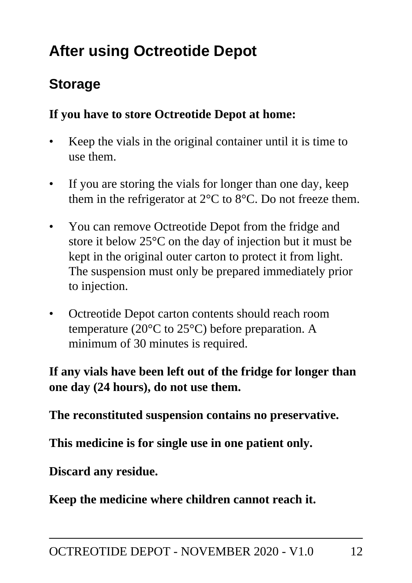# **After using Octreotide Depot**

## **Storage**

#### **If you have to store Octreotide Depot at home:**

- Keep the vials in the original container until it is time to use them.
- If you are storing the vials for longer than one day, keep them in the refrigerator at  $2^{\circ}$ C to  $8^{\circ}$ C. Do not freeze them.
- You can remove Octreotide Depot from the fridge and store it below 25°C on the day of injection but it must be kept in the original outer carton to protect it from light. The suspension must only be prepared immediately prior to injection.
- Octreotide Depot carton contents should reach room temperature (20°C to 25°C) before preparation. A minimum of 30 minutes is required.

#### **If any vials have been left out of the fridge for longer than one day (24 hours), do not use them.**

**The reconstituted suspension contains no preservative.**

**This medicine is for single use in one patient only.**

**Discard any residue.**

**Keep the medicine where children cannot reach it.**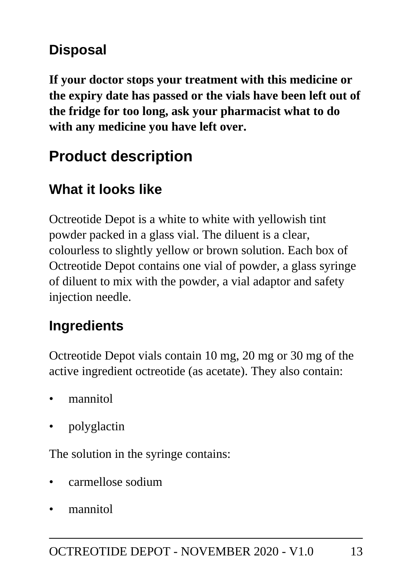# **Disposal**

**If your doctor stops your treatment with this medicine or the expiry date has passed or the vials have been left out of the fridge for too long, ask your pharmacist what to do with any medicine you have left over.**

# **Product description**

# **What it looks like**

Octreotide Depot is a white to white with yellowish tint powder packed in a glass vial. The diluent is a clear, colourless to slightly yellow or brown solution. Each box of Octreotide Depot contains one vial of powder, a glass syringe of diluent to mix with the powder, a vial adaptor and safety injection needle.

## **Ingredients**

Octreotide Depot vials contain 10 mg, 20 mg or 30 mg of the active ingredient octreotide (as acetate). They also contain:

- mannitol
- polyglactin

The solution in the syringe contains:

- carmellose sodium
- mannitol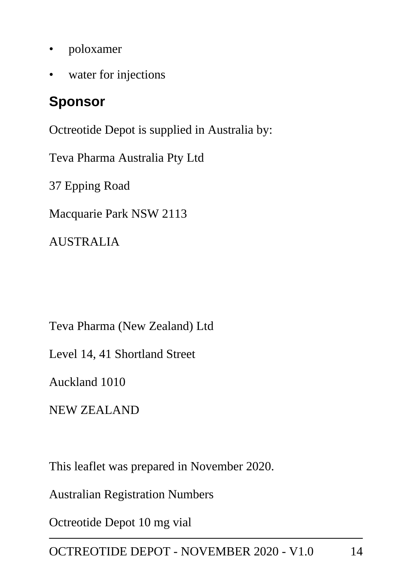- poloxamer
- water for injections

## **Sponsor**

Octreotide Depot is supplied in Australia by:

Teva Pharma Australia Pty Ltd

37 Epping Road

Macquarie Park NSW 2113

AUSTRALIA

Teva Pharma (New Zealand) Ltd

Level 14, 41 Shortland Street

Auckland 1010

NEW ZEALAND

This leaflet was prepared in November 2020.

Australian Registration Numbers

Octreotide Depot 10 mg vial